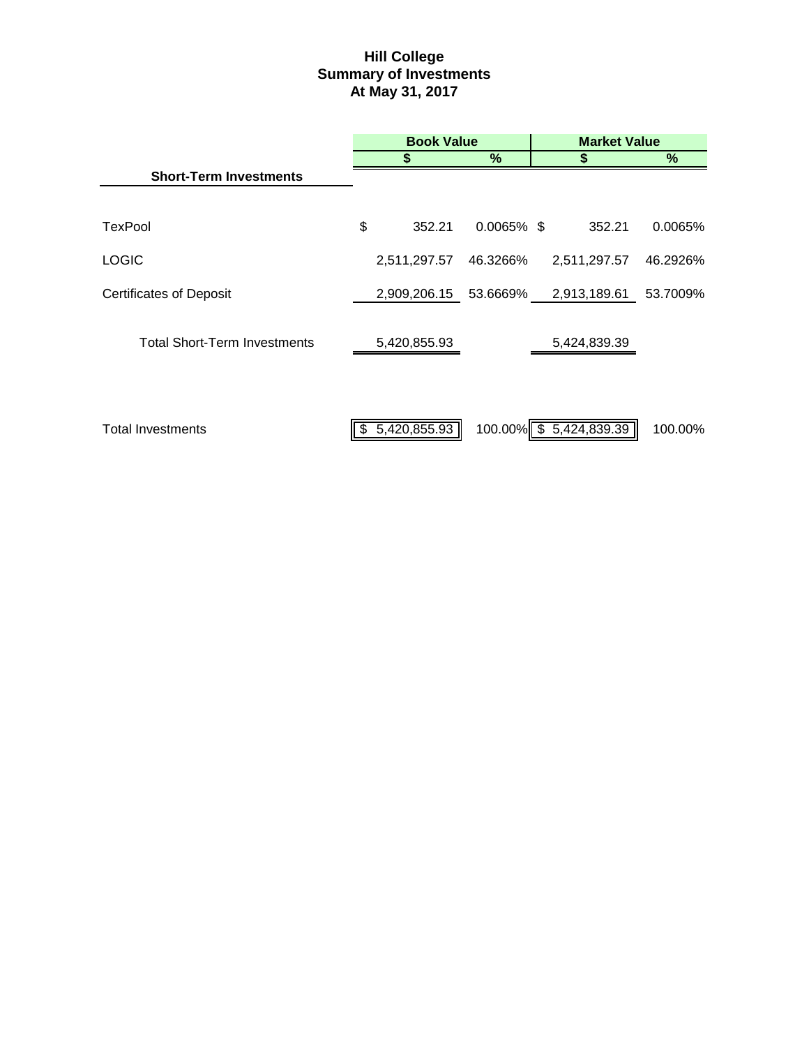# **Hill College Summary of Investments At May 31, 2017**

|                                     | <b>Book Value</b> |                       |               | <b>Market Value</b>     |          |  |
|-------------------------------------|-------------------|-----------------------|---------------|-------------------------|----------|--|
|                                     |                   |                       | %             | S                       | %        |  |
| <b>Short-Term Investments</b>       |                   |                       |               |                         |          |  |
| <b>TexPool</b>                      | \$                | 352.21                | $0.0065\%$ \$ | 352.21                  | 0.0065%  |  |
| <b>LOGIC</b>                        |                   | 2,511,297.57          | 46.3266%      | 2,511,297.57            | 46.2926% |  |
| <b>Certificates of Deposit</b>      |                   | 2,909,206.15 53.6669% |               | 2,913,189.61 53.7009%   |          |  |
| <b>Total Short-Term Investments</b> |                   | 5,420,855.93          |               | 5,424,839.39            |          |  |
| <b>Total Investments</b>            |                   | \$5,420,855.93        |               | 100.00% \$ 5,424,839.39 | 100.00%  |  |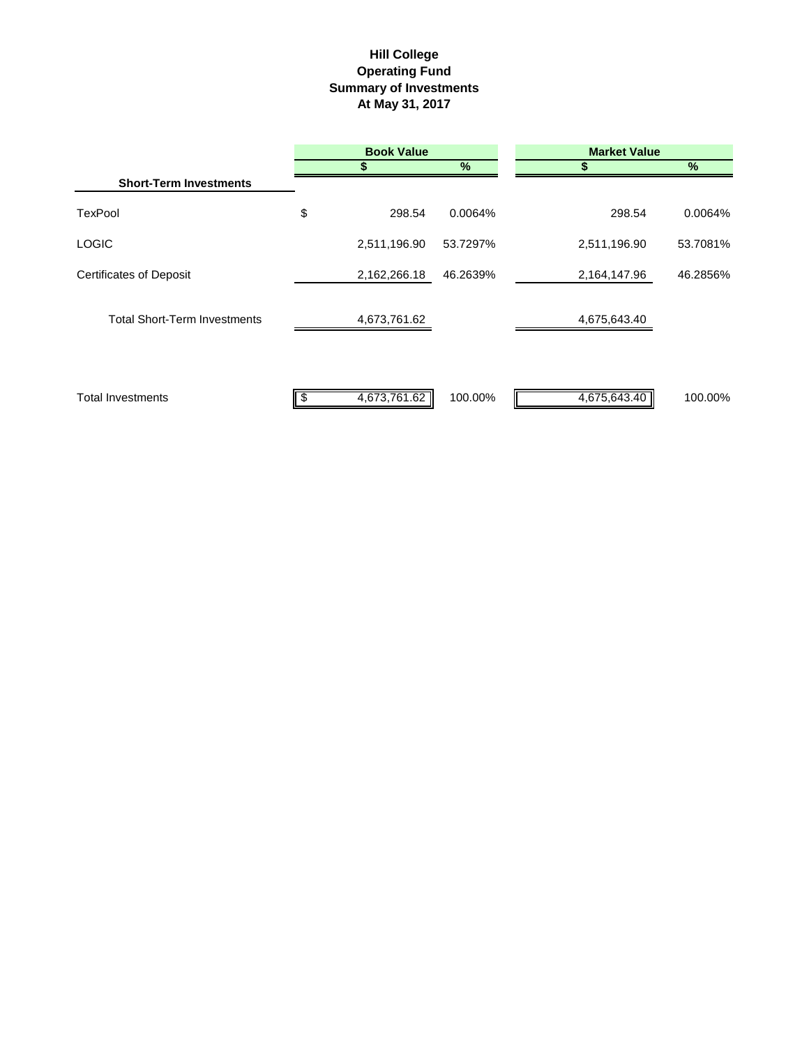## **Hill College Operating Fund Summary of Investments At May 31, 2017**

|                                     | <b>Book Value</b> |          | <b>Market Value</b> |          |  |
|-------------------------------------|-------------------|----------|---------------------|----------|--|
|                                     |                   | %        | S                   | %        |  |
| <b>Short-Term Investments</b>       |                   |          |                     |          |  |
| <b>TexPool</b>                      | \$<br>298.54      | 0.0064%  | 298.54              | 0.0064%  |  |
| <b>LOGIC</b>                        | 2,511,196.90      | 53.7297% | 2,511,196.90        | 53.7081% |  |
| <b>Certificates of Deposit</b>      | 2,162,266.18      | 46.2639% | 2,164,147.96        | 46.2856% |  |
| <b>Total Short-Term Investments</b> | 4,673,761.62      |          | 4,675,643.40        |          |  |
| <b>Total Investments</b>            | 4,673,761.62      | 100.00%  | 4,675,643.40        | 100.00%  |  |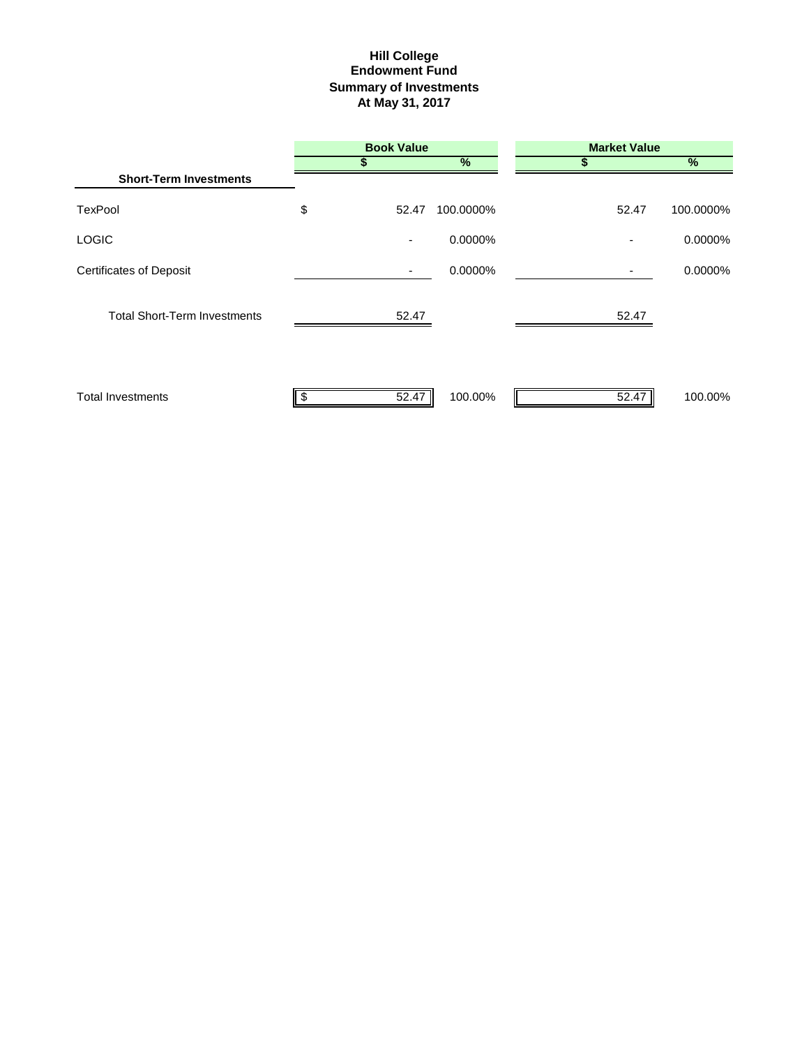### **Hill College Endowment Fund Summary of Investments At May 31, 2017**

|                                     | <b>Book Value</b> |           | <b>Market Value</b> |           |
|-------------------------------------|-------------------|-----------|---------------------|-----------|
|                                     |                   | $\%$      |                     | $\%$      |
| <b>Short-Term Investments</b>       |                   |           |                     |           |
| <b>TexPool</b>                      | \$<br>52.47       | 100.0000% | 52.47               | 100.0000% |
| <b>LOGIC</b>                        | ۰                 | 0.0000%   |                     | 0.0000%   |
| <b>Certificates of Deposit</b>      |                   | 0.0000%   |                     | 0.0000%   |
| <b>Total Short-Term Investments</b> | 52.47             |           | 52.47               |           |
| <b>Total Investments</b>            | 52.47             | 100.00%   | 52.47               | 100.00%   |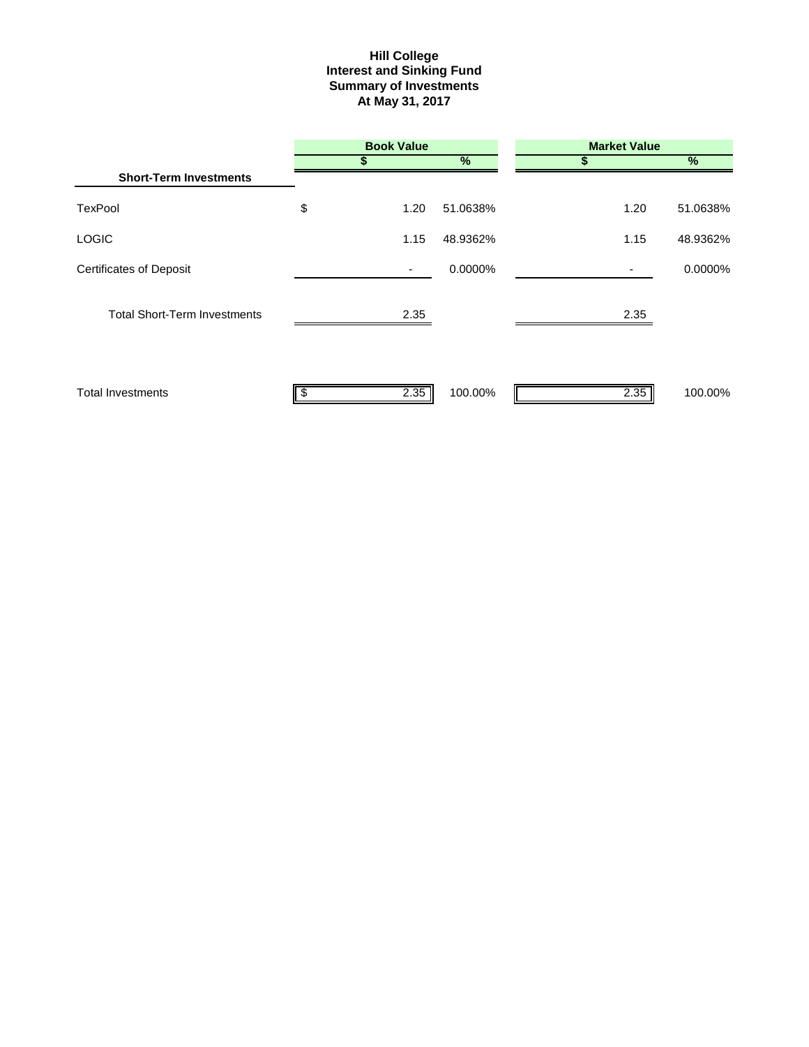#### **Interest and Sinking Fund Summary of Investments At May 31, 2017 Hill College**

|                                     | <b>Book Value</b> |               | <b>Market Value</b> |            |
|-------------------------------------|-------------------|---------------|---------------------|------------|
|                                     |                   | $\frac{9}{6}$ | S                   | $\sqrt{2}$ |
| <b>Short-Term Investments</b>       |                   |               |                     |            |
| <b>TexPool</b>                      | \$<br>1.20        | 51.0638%      | 1.20                | 51.0638%   |
| <b>LOGIC</b>                        | 1.15              | 48.9362%      | 1.15                | 48.9362%   |
| <b>Certificates of Deposit</b>      |                   | 0.0000%       |                     | 0.0000%    |
| <b>Total Short-Term Investments</b> | 2.35              |               | 2.35                |            |
| <b>Total Investments</b>            | 2.35              | 100.00%       | 2.35                | 100.00%    |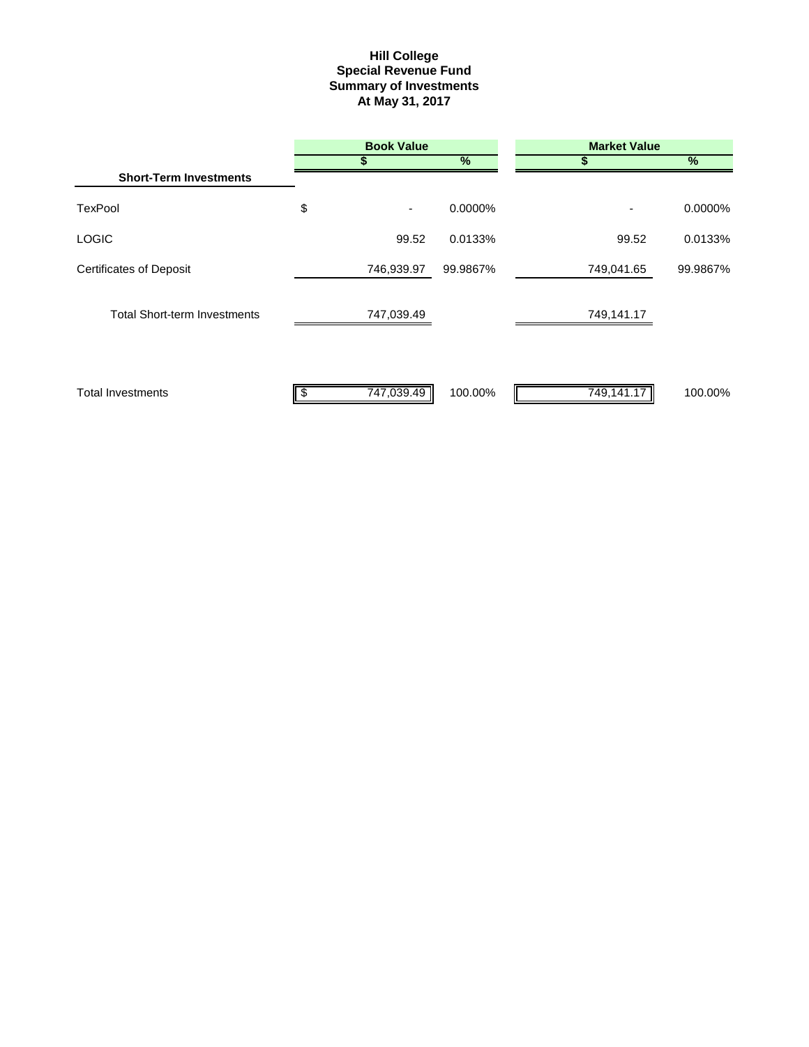#### **Summary of Investments At May 31, 2017 Special Revenue Fund Hill College**

|                                     | <b>Book Value</b> |          | <b>Market Value</b> |               |  |
|-------------------------------------|-------------------|----------|---------------------|---------------|--|
|                                     |                   | $\%$     | S                   | $\frac{9}{6}$ |  |
| <b>Short-Term Investments</b>       |                   |          |                     |               |  |
| <b>TexPool</b>                      | \$<br>٠           | 0.0000%  | ٠                   | $0.0000\%$    |  |
| <b>LOGIC</b>                        | 99.52             | 0.0133%  | 99.52               | 0.0133%       |  |
| <b>Certificates of Deposit</b>      | 746,939.97        | 99.9867% | 749,041.65          | 99.9867%      |  |
| <b>Total Short-term Investments</b> | 747,039.49        |          | 749,141.17          |               |  |
| <b>Total Investments</b>            | 747,039.49        | 100.00%  | 749,141.17          | 100.00%       |  |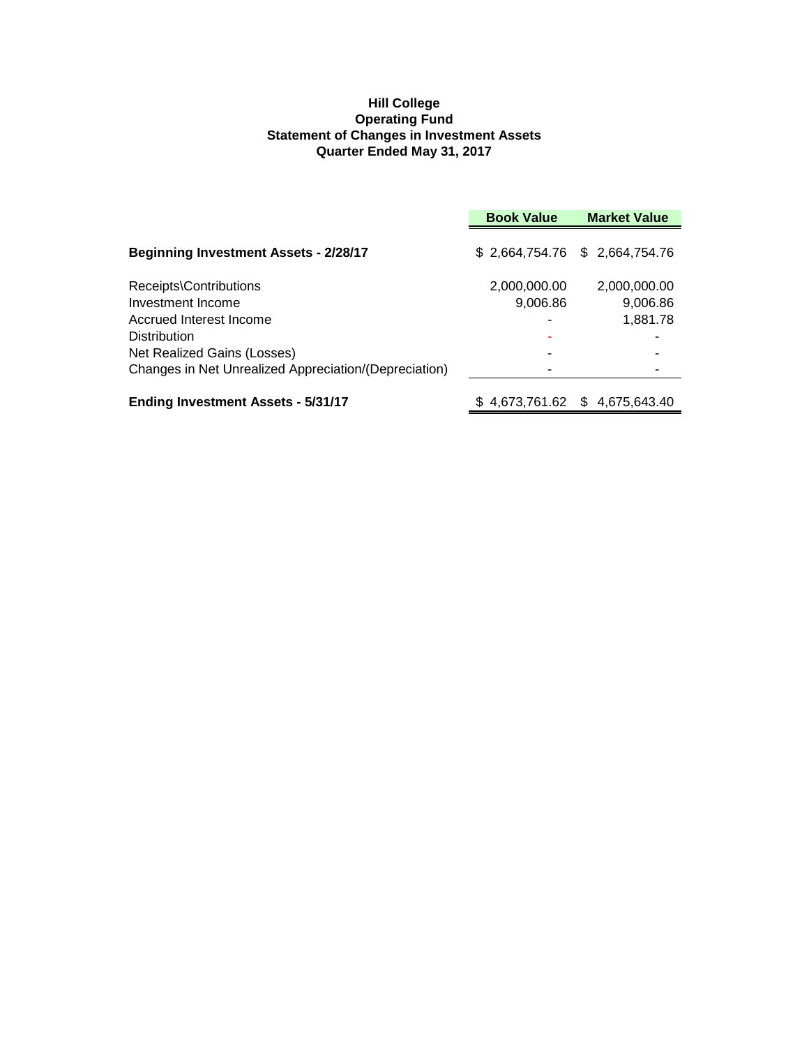## **Hill College Operating Fund Statement of Changes in Investment Assets Quarter Ended May 31, 2017**

|                                                       | <b>Book Value</b> | <b>Market Value</b>           |
|-------------------------------------------------------|-------------------|-------------------------------|
| <b>Beginning Investment Assets - 2/28/17</b>          |                   | \$2,664,754.76 \$2,664,754.76 |
| Receipts\Contributions                                | 2,000,000.00      | 2,000,000.00                  |
| Investment Income                                     | 9,006.86          | 9,006.86                      |
| Accrued Interest Income                               |                   | 1,881.78                      |
| <b>Distribution</b>                                   |                   |                               |
| Net Realized Gains (Losses)                           |                   |                               |
| Changes in Net Unrealized Appreciation/(Depreciation) |                   |                               |
| <b>Ending Investment Assets - 5/31/17</b>             | 4,673,761.62<br>S | \$.<br>4.675.643.40           |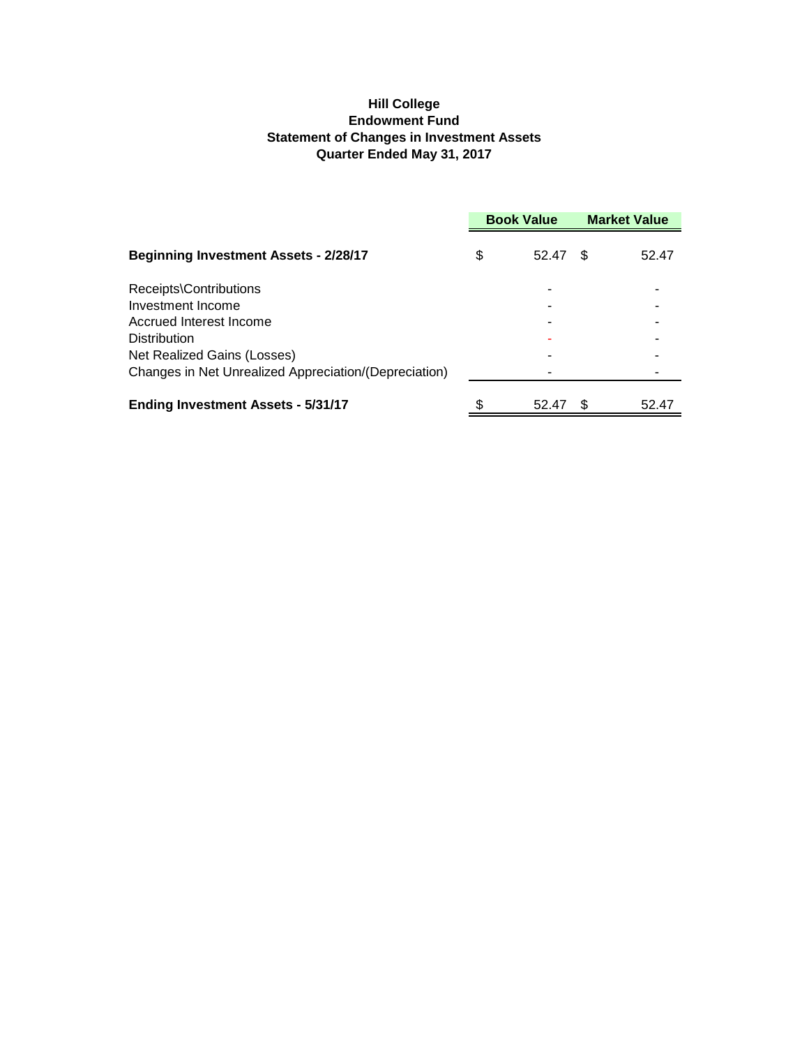## **Hill College Endowment Fund Statement of Changes in Investment Assets Quarter Ended May 31, 2017**

|                                                       | <b>Book Value</b> |       | <b>Market Value</b> |       |
|-------------------------------------------------------|-------------------|-------|---------------------|-------|
| <b>Beginning Investment Assets - 2/28/17</b>          | \$                | 52.47 | -S                  | 52.47 |
| Receipts\Contributions                                |                   |       |                     |       |
| Investment Income                                     |                   |       |                     |       |
| Accrued Interest Income                               |                   |       |                     |       |
| <b>Distribution</b>                                   |                   |       |                     |       |
| Net Realized Gains (Losses)                           |                   |       |                     |       |
| Changes in Net Unrealized Appreciation/(Depreciation) |                   |       |                     |       |
| <b>Ending Investment Assets - 5/31/17</b>             |                   | 52.47 |                     | 52.47 |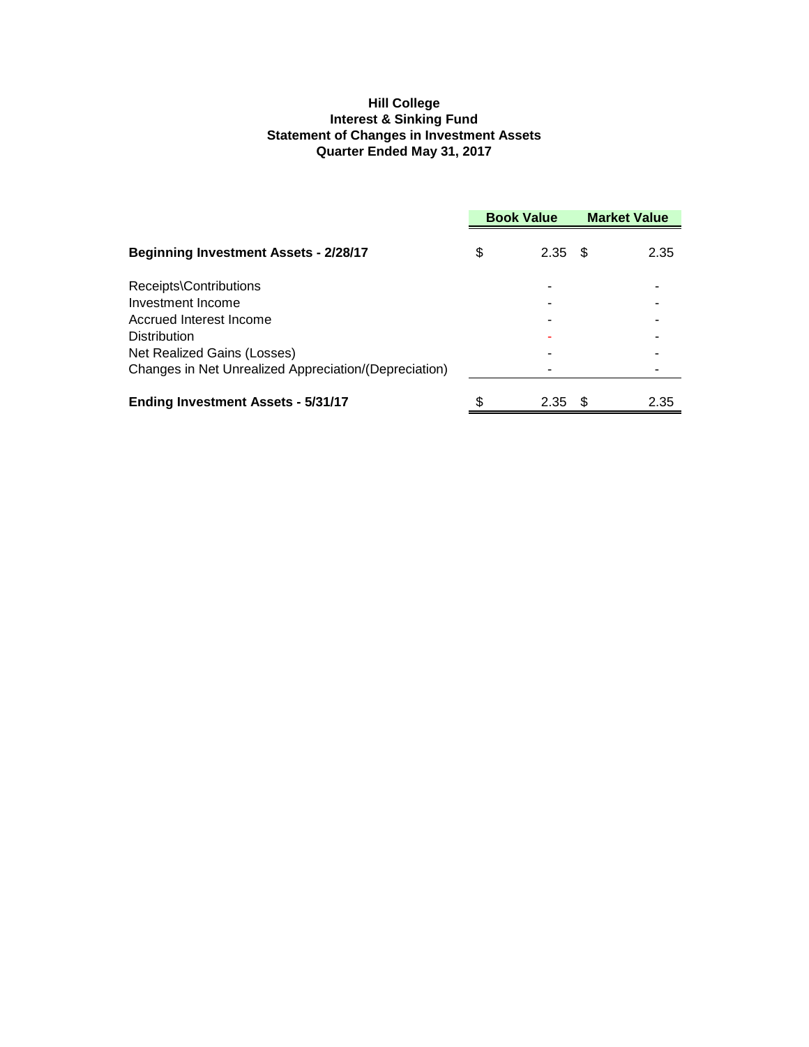## **Hill College Interest & Sinking Fund Statement of Changes in Investment Assets Quarter Ended May 31, 2017**

|                                                       | <b>Book Value</b> |      | <b>Market Value</b> |      |
|-------------------------------------------------------|-------------------|------|---------------------|------|
| <b>Beginning Investment Assets - 2/28/17</b>          | \$                | 2.35 | - \$                | 2.35 |
| Receipts\Contributions                                |                   |      |                     |      |
| Investment Income                                     |                   |      |                     |      |
| Accrued Interest Income                               |                   |      |                     |      |
| <b>Distribution</b>                                   |                   |      |                     |      |
| Net Realized Gains (Losses)                           |                   |      |                     |      |
| Changes in Net Unrealized Appreciation/(Depreciation) |                   |      |                     |      |
| <b>Ending Investment Assets - 5/31/17</b>             |                   | 2.35 | -SS                 | 2.35 |